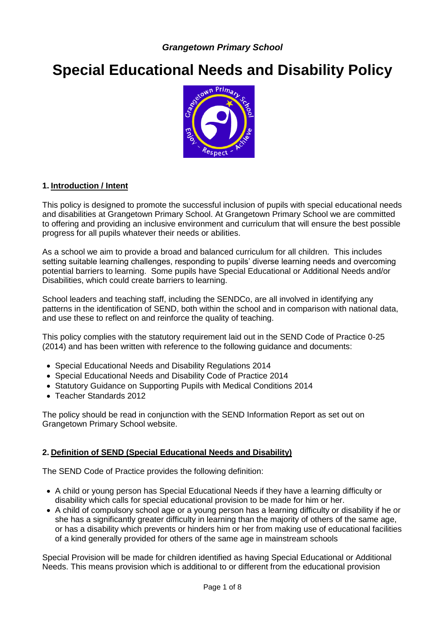# **Special Educational Needs and Disability Policy**



#### **1. Introduction / Intent**

This policy is designed to promote the successful inclusion of pupils with special educational needs and disabilities at Grangetown Primary School. At Grangetown Primary School we are committed to offering and providing an inclusive environment and curriculum that will ensure the best possible progress for all pupils whatever their needs or abilities.

As a school we aim to provide a broad and balanced curriculum for all children. This includes setting suitable learning challenges, responding to pupils' diverse learning needs and overcoming potential barriers to learning. Some pupils have Special Educational or Additional Needs and/or Disabilities, which could create barriers to learning.

School leaders and teaching staff, including the SENDCo, are all involved in identifying any patterns in the identification of SEND, both within the school and in comparison with national data, and use these to reflect on and reinforce the quality of teaching.

This policy complies with the statutory requirement laid out in the SEND Code of Practice 0-25 (2014) and has been written with reference to the following guidance and documents:

- Special Educational Needs and Disability Regulations 2014
- Special Educational Needs and Disability Code of Practice 2014
- Statutory Guidance on Supporting Pupils with Medical Conditions 2014
- Teacher Standards 2012

The policy should be read in conjunction with the SEND Information Report as set out on Grangetown Primary School website.

#### **2. Definition of SEND (Special Educational Needs and Disability)**

The SEND Code of Practice provides the following definition:

- A child or young person has Special Educational Needs if they have a learning difficulty or disability which calls for special educational provision to be made for him or her.
- A child of compulsory school age or a young person has a learning difficulty or disability if he or she has a significantly greater difficulty in learning than the majority of others of the same age, or has a disability which prevents or hinders him or her from making use of educational facilities of a kind generally provided for others of the same age in mainstream schools

Special Provision will be made for children identified as having Special Educational or Additional Needs. This means provision which is additional to or different from the educational provision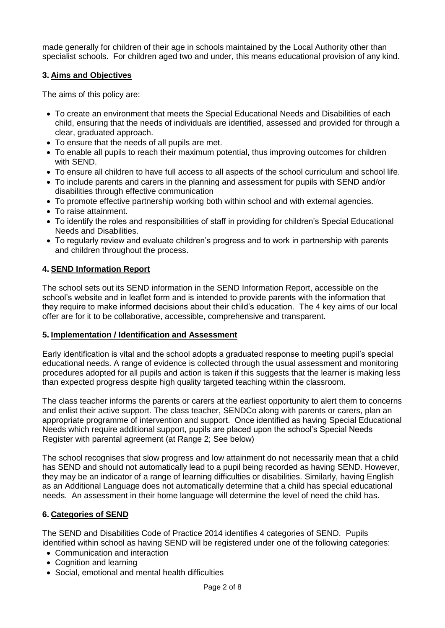made generally for children of their age in schools maintained by the Local Authority other than specialist schools. For children aged two and under, this means educational provision of any kind.

## **3. Aims and Objectives**

The aims of this policy are:

- To create an environment that meets the Special Educational Needs and Disabilities of each child, ensuring that the needs of individuals are identified, assessed and provided for through a clear, graduated approach.
- To ensure that the needs of all pupils are met.
- To enable all pupils to reach their maximum potential, thus improving outcomes for children with SEND.
- To ensure all children to have full access to all aspects of the school curriculum and school life.
- To include parents and carers in the planning and assessment for pupils with SEND and/or disabilities through effective communication
- To promote effective partnership working both within school and with external agencies.
- To raise attainment.
- To identify the roles and responsibilities of staff in providing for children's Special Educational Needs and Disabilities.
- To regularly review and evaluate children's progress and to work in partnership with parents and children throughout the process.

#### **4. SEND Information Report**

The school sets out its SEND information in the SEND Information Report, accessible on the school's website and in leaflet form and is intended to provide parents with the information that they require to make informed decisions about their child's education. The 4 key aims of our local offer are for it to be collaborative, accessible, comprehensive and transparent.

#### **5. Implementation / Identification and Assessment**

Early identification is vital and the school adopts a graduated response to meeting pupil's special educational needs. A range of evidence is collected through the usual assessment and monitoring procedures adopted for all pupils and action is taken if this suggests that the learner is making less than expected progress despite high quality targeted teaching within the classroom.

The class teacher informs the parents or carers at the earliest opportunity to alert them to concerns and enlist their active support. The class teacher, SENDCo along with parents or carers, plan an appropriate programme of intervention and support. Once identified as having Special Educational Needs which require additional support, pupils are placed upon the school's Special Needs Register with parental agreement (at Range 2; See below)

The school recognises that slow progress and low attainment do not necessarily mean that a child has SEND and should not automatically lead to a pupil being recorded as having SEND. However, they may be an indicator of a range of learning difficulties or disabilities. Similarly, having English as an Additional Language does not automatically determine that a child has special educational needs. An assessment in their home language will determine the level of need the child has.

#### **6. Categories of SEND**

The SEND and Disabilities Code of Practice 2014 identifies 4 categories of SEND. Pupils identified within school as having SEND will be registered under one of the following categories:

- Communication and interaction
- Cognition and learning
- Social, emotional and mental health difficulties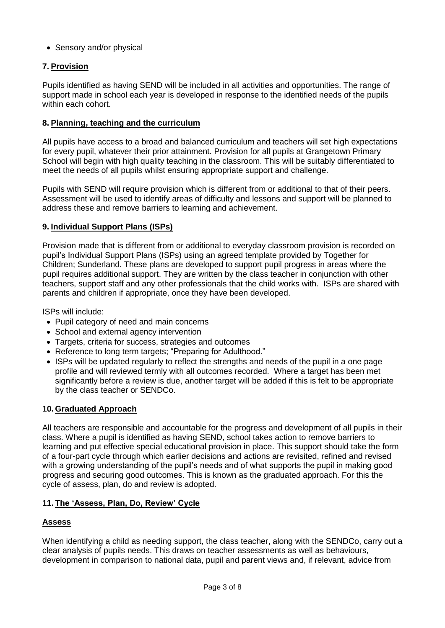• Sensory and/or physical

# **7. Provision**

Pupils identified as having SEND will be included in all activities and opportunities. The range of support made in school each year is developed in response to the identified needs of the pupils within each cohort.

#### **8. Planning, teaching and the curriculum**

All pupils have access to a broad and balanced curriculum and teachers will set high expectations for every pupil, whatever their prior attainment. Provision for all pupils at Grangetown Primary School will begin with high quality teaching in the classroom. This will be suitably differentiated to meet the needs of all pupils whilst ensuring appropriate support and challenge.

Pupils with SEND will require provision which is different from or additional to that of their peers. Assessment will be used to identify areas of difficulty and lessons and support will be planned to address these and remove barriers to learning and achievement.

#### **9. Individual Support Plans (ISPs)**

Provision made that is different from or additional to everyday classroom provision is recorded on pupil's Individual Support Plans (ISPs) using an agreed template provided by Together for Children; Sunderland. These plans are developed to support pupil progress in areas where the pupil requires additional support. They are written by the class teacher in conjunction with other teachers, support staff and any other professionals that the child works with. ISPs are shared with parents and children if appropriate, once they have been developed.

ISPs will include:

- Pupil category of need and main concerns
- School and external agency intervention
- Targets, criteria for success, strategies and outcomes
- Reference to long term targets; "Preparing for Adulthood."
- ISPs will be updated regularly to reflect the strengths and needs of the pupil in a one page profile and will reviewed termly with all outcomes recorded. Where a target has been met significantly before a review is due, another target will be added if this is felt to be appropriate by the class teacher or SENDCo.

#### **10. Graduated Approach**

All teachers are responsible and accountable for the progress and development of all pupils in their class. Where a pupil is identified as having SEND, school takes action to remove barriers to learning and put effective special educational provision in place. This support should take the form of a four-part cycle through which earlier decisions and actions are revisited, refined and revised with a growing understanding of the pupil's needs and of what supports the pupil in making good progress and securing good outcomes. This is known as the graduated approach. For this the cycle of assess, plan, do and review is adopted.

#### **11. The 'Assess, Plan, Do, Review' Cycle**

#### **Assess**

When identifying a child as needing support, the class teacher, along with the SENDCo, carry out a clear analysis of pupils needs. This draws on teacher assessments as well as behaviours, development in comparison to national data, pupil and parent views and, if relevant, advice from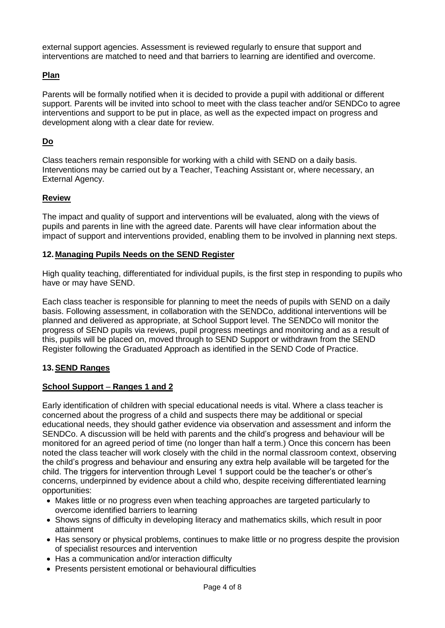external support agencies. Assessment is reviewed regularly to ensure that support and interventions are matched to need and that barriers to learning are identified and overcome.

## **Plan**

Parents will be formally notified when it is decided to provide a pupil with additional or different support. Parents will be invited into school to meet with the class teacher and/or SENDCo to agree interventions and support to be put in place, as well as the expected impact on progress and development along with a clear date for review.

#### **Do**

Class teachers remain responsible for working with a child with SEND on a daily basis. Interventions may be carried out by a Teacher, Teaching Assistant or, where necessary, an External Agency.

#### **Review**

The impact and quality of support and interventions will be evaluated, along with the views of pupils and parents in line with the agreed date. Parents will have clear information about the impact of support and interventions provided, enabling them to be involved in planning next steps.

#### **12. Managing Pupils Needs on the SEND Register**

High quality teaching, differentiated for individual pupils, is the first step in responding to pupils who have or may have SEND.

Each class teacher is responsible for planning to meet the needs of pupils with SEND on a daily basis. Following assessment, in collaboration with the SENDCo, additional interventions will be planned and delivered as appropriate, at School Support level. The SENDCo will monitor the progress of SEND pupils via reviews, pupil progress meetings and monitoring and as a result of this, pupils will be placed on, moved through to SEND Support or withdrawn from the SEND Register following the Graduated Approach as identified in the SEND Code of Practice.

#### **13.SEND Ranges**

#### **School Support** – **Ranges 1 and 2**

Early identification of children with special educational needs is vital. Where a class teacher is concerned about the progress of a child and suspects there may be additional or special educational needs, they should gather evidence via observation and assessment and inform the SENDCo. A discussion will be held with parents and the child's progress and behaviour will be monitored for an agreed period of time (no longer than half a term.) Once this concern has been noted the class teacher will work closely with the child in the normal classroom context, observing the child's progress and behaviour and ensuring any extra help available will be targeted for the child. The triggers for intervention through Level 1 support could be the teacher's or other's concerns, underpinned by evidence about a child who, despite receiving differentiated learning opportunities:

- Makes little or no progress even when teaching approaches are targeted particularly to overcome identified barriers to learning
- Shows signs of difficulty in developing literacy and mathematics skills, which result in poor attainment
- Has sensory or physical problems, continues to make little or no progress despite the provision of specialist resources and intervention
- Has a communication and/or interaction difficulty
- Presents persistent emotional or behavioural difficulties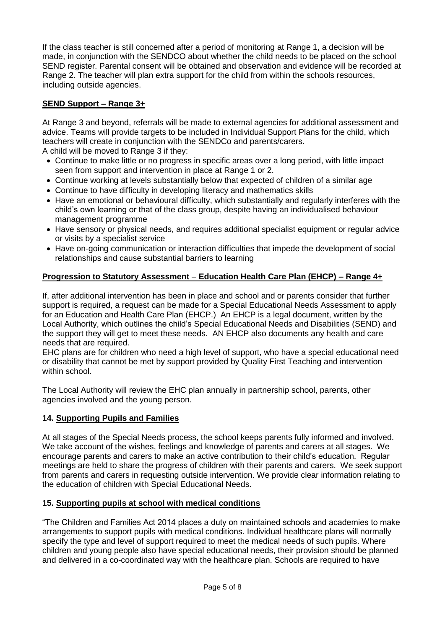If the class teacher is still concerned after a period of monitoring at Range 1, a decision will be made, in conjunction with the SENDCO about whether the child needs to be placed on the school SEND register. Parental consent will be obtained and observation and evidence will be recorded at Range 2. The teacher will plan extra support for the child from within the schools resources, including outside agencies.

# **SEND Support – Range 3+**

At Range 3 and beyond, referrals will be made to external agencies for additional assessment and advice. Teams will provide targets to be included in Individual Support Plans for the child, which teachers will create in conjunction with the SENDCo and parents/carers. A child will be moved to Range 3 if they:

- Continue to make little or no progress in specific areas over a long period, with little impact seen from support and intervention in place at Range 1 or 2.
- Continue working at levels substantially below that expected of children of a similar age
- Continue to have difficulty in developing literacy and mathematics skills
- Have an emotional or behavioural difficulty, which substantially and regularly interferes with the child's own learning or that of the class group, despite having an individualised behaviour management programme
- Have sensory or physical needs, and requires additional specialist equipment or regular advice or visits by a specialist service
- Have on-going communication or interaction difficulties that impede the development of social relationships and cause substantial barriers to learning

# **Progression to Statutory Assessment** – **Education Health Care Plan (EHCP) – Range 4+**

If, after additional intervention has been in place and school and or parents consider that further support is required, a request can be made for a Special Educational Needs Assessment to apply for an Education and Health Care Plan (EHCP.) An EHCP is a legal document, written by the Local Authority, which outlines the child's Special Educational Needs and Disabilities (SEND) and the support they will get to meet these needs. AN EHCP also documents any health and care needs that are required.

EHC plans are for children who need a high level of support, who have a special educational need or disability that cannot be met by support provided by Quality First Teaching and intervention within school.

The Local Authority will review the EHC plan annually in partnership school, parents, other agencies involved and the young person.

## **14. Supporting Pupils and Families**

At all stages of the Special Needs process, the school keeps parents fully informed and involved. We take account of the wishes, feelings and knowledge of parents and carers at all stages. We encourage parents and carers to make an active contribution to their child's education. Regular meetings are held to share the progress of children with their parents and carers. We seek support from parents and carers in requesting outside intervention. We provide clear information relating to the education of children with Special Educational Needs.

## **15. Supporting pupils at school with medical conditions**

"The Children and Families Act 2014 places a duty on maintained schools and academies to make arrangements to support pupils with medical conditions. Individual healthcare plans will normally specify the type and level of support required to meet the medical needs of such pupils. Where children and young people also have special educational needs, their provision should be planned and delivered in a co-coordinated way with the healthcare plan. Schools are required to have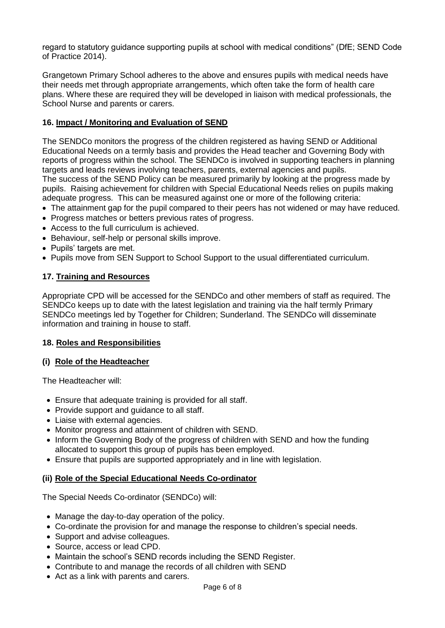regard to statutory guidance supporting pupils at school with medical conditions" (DfE; SEND Code of Practice 2014).

Grangetown Primary School adheres to the above and ensures pupils with medical needs have their needs met through appropriate arrangements, which often take the form of health care plans. Where these are required they will be developed in liaison with medical professionals, the School Nurse and parents or carers.

## **16. Impact / Monitoring and Evaluation of SEND**

The SENDCo monitors the progress of the children registered as having SEND or Additional Educational Needs on a termly basis and provides the Head teacher and Governing Body with reports of progress within the school. The SENDCo is involved in supporting teachers in planning targets and leads reviews involving teachers, parents, external agencies and pupils. The success of the SEND Policy can be measured primarily by looking at the progress made by pupils. Raising achievement for children with Special Educational Needs relies on pupils making adequate progress. This can be measured against one or more of the following criteria:

- The attainment gap for the pupil compared to their peers has not widened or may have reduced.
- Progress matches or betters previous rates of progress.
- Access to the full curriculum is achieved.
- Behaviour, self-help or personal skills improve.
- Pupils' targets are met.
- Pupils move from SEN Support to School Support to the usual differentiated curriculum.

#### **17. Training and Resources**

Appropriate CPD will be accessed for the SENDCo and other members of staff as required. The SENDCo keeps up to date with the latest legislation and training via the half termly Primary SENDCo meetings led by Together for Children; Sunderland. The SENDCo will disseminate information and training in house to staff.

#### **18. Roles and Responsibilities**

## **(i) Role of the Headteacher**

The Headteacher will:

- Ensure that adequate training is provided for all staff.
- Provide support and quidance to all staff.
- Liaise with external agencies.
- Monitor progress and attainment of children with SEND.
- Inform the Governing Body of the progress of children with SEND and how the funding allocated to support this group of pupils has been employed.
- Ensure that pupils are supported appropriately and in line with legislation.

#### **(ii) Role of the Special Educational Needs Co-ordinator**

The Special Needs Co-ordinator (SENDCo) will:

- Manage the day-to-day operation of the policy.
- Co-ordinate the provision for and manage the response to children's special needs.
- Support and advise colleagues.
- Source, access or lead CPD.
- Maintain the school's SEND records including the SEND Register.
- Contribute to and manage the records of all children with SEND
- Act as a link with parents and carers.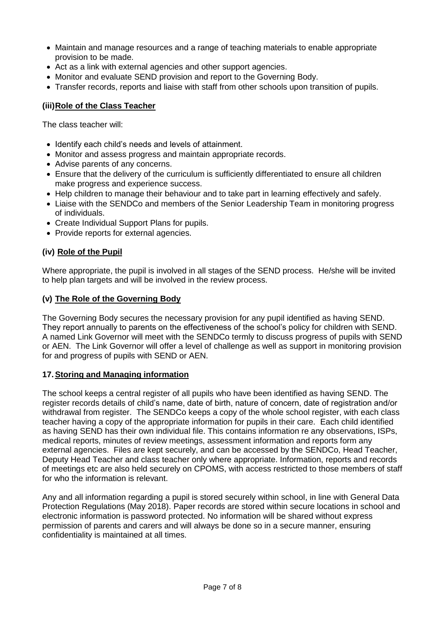- Maintain and manage resources and a range of teaching materials to enable appropriate provision to be made.
- Act as a link with external agencies and other support agencies.
- Monitor and evaluate SEND provision and report to the Governing Body.
- Transfer records, reports and liaise with staff from other schools upon transition of pupils.

## **(iii)Role of the Class Teacher**

The class teacher will:

- Identify each child's needs and levels of attainment.
- Monitor and assess progress and maintain appropriate records.
- Advise parents of any concerns.
- Ensure that the delivery of the curriculum is sufficiently differentiated to ensure all children make progress and experience success.
- Help children to manage their behaviour and to take part in learning effectively and safely.
- Liaise with the SENDCo and members of the Senior Leadership Team in monitoring progress of individuals.
- Create Individual Support Plans for pupils.
- Provide reports for external agencies.

## **(iv) Role of the Pupil**

Where appropriate, the pupil is involved in all stages of the SEND process. He/she will be invited to help plan targets and will be involved in the review process.

#### **(v) The Role of the Governing Body**

The Governing Body secures the necessary provision for any pupil identified as having SEND. They report annually to parents on the effectiveness of the school's policy for children with SEND. A named Link Governor will meet with the SENDCo termly to discuss progress of pupils with SEND or AEN. The Link Governor will offer a level of challenge as well as support in monitoring provision for and progress of pupils with SEND or AEN.

#### **17.Storing and Managing information**

The school keeps a central register of all pupils who have been identified as having SEND. The register records details of child's name, date of birth, nature of concern, date of registration and/or withdrawal from register. The SENDCo keeps a copy of the whole school register, with each class teacher having a copy of the appropriate information for pupils in their care. Each child identified as having SEND has their own individual file. This contains information re any observations, ISPs, medical reports, minutes of review meetings, assessment information and reports form any external agencies. Files are kept securely, and can be accessed by the SENDCo, Head Teacher, Deputy Head Teacher and class teacher only where appropriate. Information, reports and records of meetings etc are also held securely on CPOMS, with access restricted to those members of staff for who the information is relevant.

Any and all information regarding a pupil is stored securely within school, in line with General Data Protection Regulations (May 2018). Paper records are stored within secure locations in school and electronic information is password protected. No information will be shared without express permission of parents and carers and will always be done so in a secure manner, ensuring confidentiality is maintained at all times.